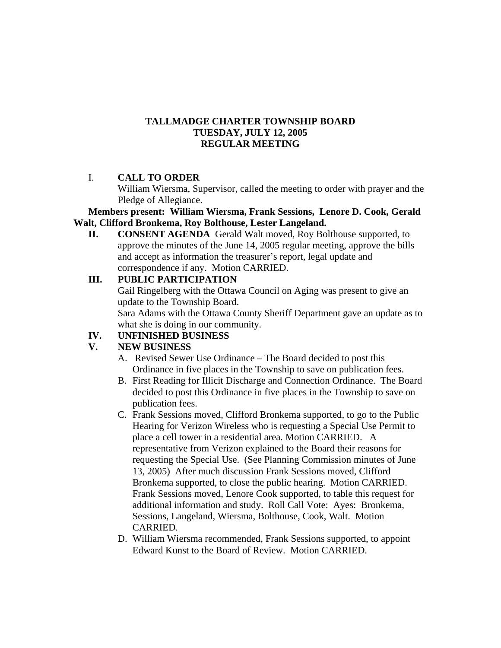### **TALLMADGE CHARTER TOWNSHIP BOARD TUESDAY, JULY 12, 2005 REGULAR MEETING**

## I. **CALL TO ORDER**

William Wiersma, Supervisor, called the meeting to order with prayer and the Pledge of Allegiance.

#### **Members present: William Wiersma, Frank Sessions, Lenore D. Cook, Gerald Walt, Clifford Bronkema, Roy Bolthouse, Lester Langeland.**

**II. CONSENT AGENDA** Gerald Walt moved, Roy Bolthouse supported, to approve the minutes of the June 14, 2005 regular meeting, approve the bills and accept as information the treasurer's report, legal update and correspondence if any. Motion CARRIED.

## **III. PUBLIC PARTICIPATION**

Gail Ringelberg with the Ottawa Council on Aging was present to give an update to the Township Board. Sara Adams with the Ottawa County Sheriff Department gave an update as to what she is doing in our community.

# **IV. UNFINISHED BUSINESS**

# **V. NEW BUSINESS**

- A. Revised Sewer Use Ordinance The Board decided to post this Ordinance in five places in the Township to save on publication fees.
- B. First Reading for Illicit Discharge and Connection Ordinance. The Board decided to post this Ordinance in five places in the Township to save on publication fees.
- C. Frank Sessions moved, Clifford Bronkema supported, to go to the Public Hearing for Verizon Wireless who is requesting a Special Use Permit to place a cell tower in a residential area. Motion CARRIED. A representative from Verizon explained to the Board their reasons for requesting the Special Use. (See Planning Commission minutes of June 13, 2005) After much discussion Frank Sessions moved, Clifford Bronkema supported, to close the public hearing. Motion CARRIED. Frank Sessions moved, Lenore Cook supported, to table this request for additional information and study. Roll Call Vote: Ayes: Bronkema, Sessions, Langeland, Wiersma, Bolthouse, Cook, Walt. Motion CARRIED.
- D. William Wiersma recommended, Frank Sessions supported, to appoint Edward Kunst to the Board of Review. Motion CARRIED.